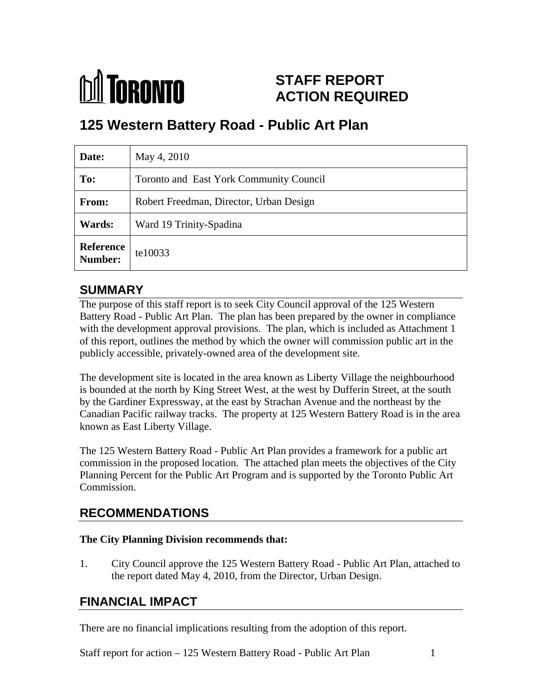

# **STAFF REPORT ACTION REQUIRED**

# **125 Western Battery Road - Public Art Plan**

| Date:                       | May 4, 2010                             |
|-----------------------------|-----------------------------------------|
| To:                         | Toronto and East York Community Council |
| From:                       | Robert Freedman, Director, Urban Design |
| <b>Wards:</b>               | Ward 19 Trinity-Spadina                 |
| <b>Reference</b><br>Number: | te10033                                 |

## **SUMMARY**

The purpose of this staff report is to seek City Council approval of the 125 Western Battery Road - Public Art Plan. The plan has been prepared by the owner in compliance with the development approval provisions. The plan, which is included as Attachment 1 of this report, outlines the method by which the owner will commission public art in the publicly accessible, privately-owned area of the development site.

The development site is located in the area known as Liberty Village the neighbourhood is bounded at the north by King Street West, at the west by Dufferin Street, at the south by the Gardiner Expressway, at the east by Strachan Avenue and the northeast by the Canadian Pacific railway tracks. The property at 125 Western Battery Road is in the area known as East Liberty Village.

The 125 Western Battery Road - Public Art Plan provides a framework for a public art commission in the proposed location. The attached plan meets the objectives of the City Planning Percent for the Public Art Program and is supported by the Toronto Public Art Commission.

#### **RECOMMENDATIONS**

#### **The City Planning Division recommends that:**

1. City Council approve the 125 Western Battery Road - Public Art Plan, attached to the report dated May 4, 2010, from the Director, Urban Design.

## **FINANCIAL IMPACT**

There are no financial implications resulting from the adoption of this report.

Staff report for action – 125 Western Battery Road - Public Art Plan 1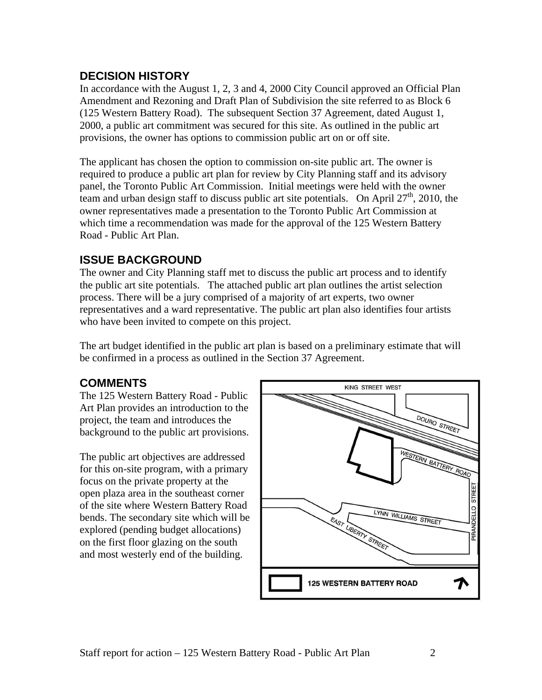#### **DECISION HISTORY**

In accordance with the August 1, 2, 3 and 4, 2000 City Council approved an Official Plan Amendment and Rezoning and Draft Plan of Subdivision the site referred to as Block 6 (125 Western Battery Road). The subsequent Section 37 Agreement, dated August 1, 2000, a public art commitment was secured for this site. As outlined in the public art provisions, the owner has options to commission public art on or off site.

The applicant has chosen the option to commission on-site public art. The owner is required to produce a public art plan for review by City Planning staff and its advisory panel, the Toronto Public Art Commission. Initial meetings were held with the owner team and urban design staff to discuss public art site potentials. On April  $27<sup>th</sup>$ , 2010, the , 2010, the owner representatives made a presentation to the Toronto Public Art Commission at which time a recommendation was made for the approval of the 125 Western Battery Road - Public Art Plan.

## **ISSUE BACKGROUND**

The owner and City Planning staff met to discuss the public art process and to identify the public art site potentials. The attached public art plan outlines the artist selection process. There will be a jury comprised of a majority of art experts, two owner representatives and a ward representative. The public art plan also identifies four artists who have been invited to compete on this project.

The art budget identified in the public art plan is based on a preliminary estimate that will be confirmed in a process as outlined in the Section 37 Agreement.

The 125 Western Battery Road - Public project, the team and introduces the background to the public art provisions.

for this on-site program, with a primary open plaza area in the southeast corner bends. The secondary site which will be explored (pending budget allocations) on the first floor glazing on the south and most westerly end of the building.